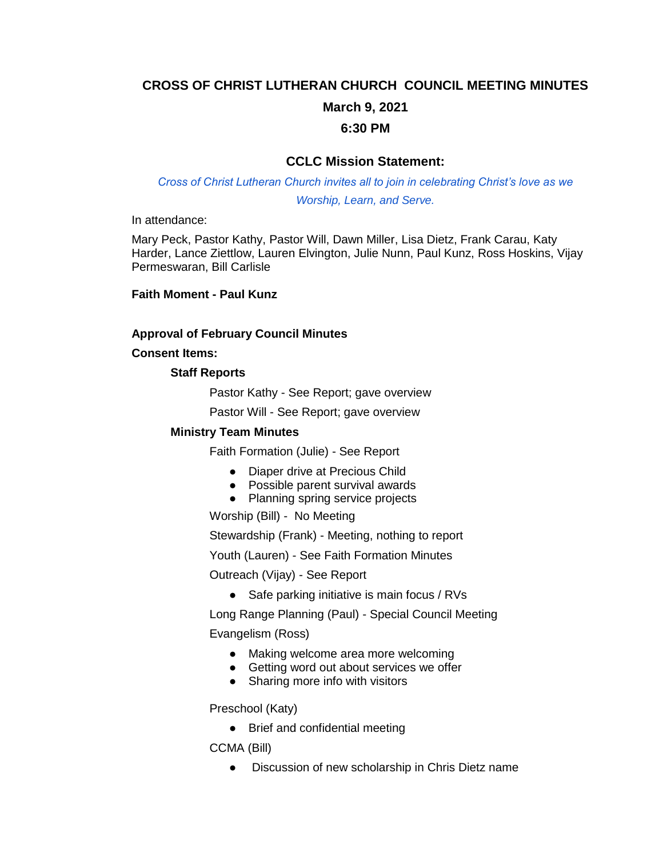# **CROSS OF CHRIST LUTHERAN CHURCH COUNCIL MEETING MINUTES March 9, 2021**

# **6:30 PM**

# **CCLC Mission Statement:**

*Cross of Christ Lutheran Church invites all to join in celebrating Christ's love as we Worship, Learn, and Serve.*

In attendance:

Mary Peck, Pastor Kathy, Pastor Will, Dawn Miller, Lisa Dietz, Frank Carau, Katy Harder, Lance Ziettlow, Lauren Elvington, Julie Nunn, Paul Kunz, Ross Hoskins, Vijay Permeswaran, Bill Carlisle

**Faith Moment - Paul Kunz**

#### **Approval of February Council Minutes**

**Consent Items:** 

#### **Staff Reports**

Pastor Kathy - See Report; gave overview

Pastor Will - See Report; gave overview

#### **Ministry Team Minutes**

Faith Formation (Julie) - See Report

- Diaper drive at Precious Child
- Possible parent survival awards
- Planning spring service projects

Worship (Bill) - No Meeting

Stewardship (Frank) - Meeting, nothing to report

Youth (Lauren) - See Faith Formation Minutes

Outreach (Vijay) - See Report

● Safe parking initiative is main focus / RVs

Long Range Planning (Paul) - Special Council Meeting Evangelism (Ross)

- Making welcome area more welcoming
- Getting word out about services we offer
- Sharing more info with visitors

Preschool (Katy)

• Brief and confidential meeting

CCMA (Bill)

● Discussion of new scholarship in Chris Dietz name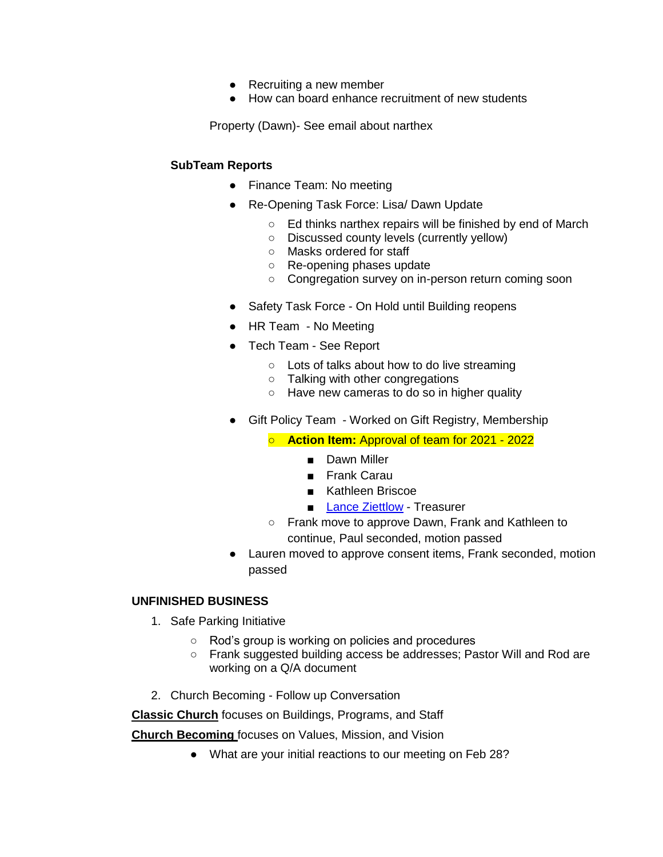- Recruiting a new member
- How can board enhance recruitment of new students

Property (Dawn)- See email about narthex

#### **SubTeam Reports**

- Finance Team: No meeting
- Re-Opening Task Force: Lisa/ Dawn Update
	- Ed thinks narthex repairs will be finished by end of March
	- Discussed county levels (currently yellow)
	- Masks ordered for staff
	- Re-opening phases update
	- Congregation survey on in-person return coming soon
- Safety Task Force On Hold until Building reopens
- HR Team No Meeting
- Tech Team See Report
	- Lots of talks about how to do live streaming
	- Talking with other congregations
	- Have new cameras to do so in higher quality
- Gift Policy Team Worked on Gift Registry, Membership

○ **Action Item:** Approval of team for 2021 - 2022

- Dawn Miller
- Frank Carau
- Kathleen Briscoe
- [Lance Ziettlow](mailto:ziettlow42@gmail.com) Treasurer
- Frank move to approve Dawn, Frank and Kathleen to continue, Paul seconded, motion passed
- Lauren moved to approve consent items, Frank seconded, motion passed

#### **UNFINISHED BUSINESS**

- 1. Safe Parking Initiative
	- Rod's group is working on policies and procedures
	- Frank suggested building access be addresses; Pastor Will and Rod are working on a Q/A document
- 2. Church Becoming Follow up Conversation

**Classic Church** focuses on Buildings, Programs, and Staff

**Church Becoming** focuses on Values, Mission, and Vision

● What are your initial reactions to our meeting on Feb 28?